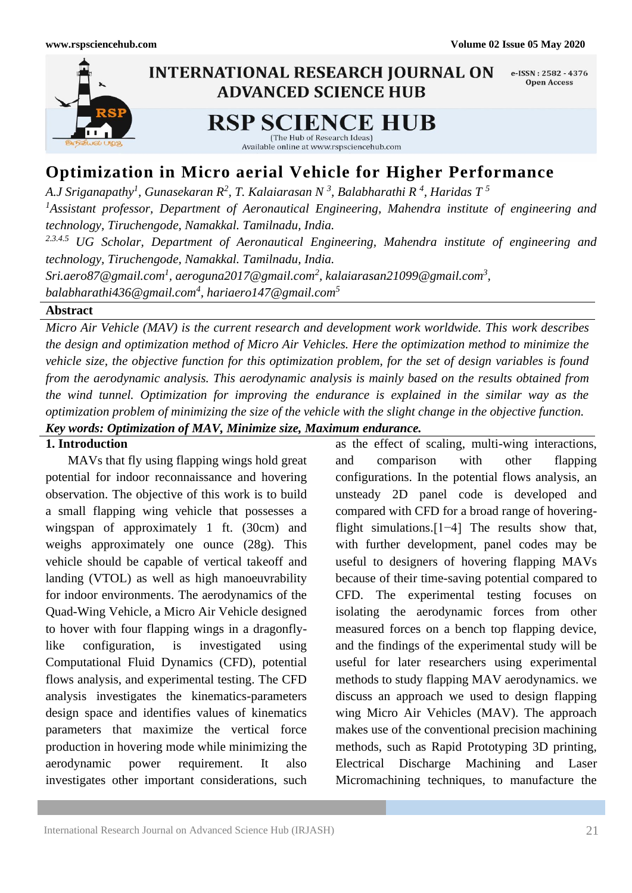

# **Optimization in Micro aerial Vehicle for Higher Performance**

*A.J Sriganapathy<sup>1</sup> , Gunasekaran R<sup>2</sup> , T. Kalaiarasan N <sup>3</sup> , Balabharathi R <sup>4</sup> , Haridas T <sup>5</sup> <sup>1</sup>Assistant professor, Department of Aeronautical Engineering, Mahendra institute of engineering and technology, Tiruchengode, Namakkal. Tamilnadu, India. 2.3.4.5 UG Scholar, Department of Aeronautical Engineering, Mahendra institute of engineering and technology, Tiruchengode, Namakkal. Tamilnadu, India.*  $S$ ri.aero87@gmail.com<sup>1</sup>, aeroguna2017@gmail.com<sup>2</sup>, kalaiarasan21099@gmail.com<sup>3</sup>, *balabharathi436@gmail.com<sup>4</sup> , hariaero147@gmail.com<sup>5</sup>*

**Abstract**

*Micro Air Vehicle (MAV) is the current research and development work worldwide. This work describes the design and optimization method of Micro Air Vehicles. Here the optimization method to minimize the vehicle size, the objective function for this optimization problem, for the set of design variables is found from the aerodynamic analysis. This aerodynamic analysis is mainly based on the results obtained from the wind tunnel. Optimization for improving the endurance is explained in the similar way as the optimization problem of minimizing the size of the vehicle with the slight change in the objective function. Key words: Optimization of MAV, Minimize size, Maximum endurance.*

## **1. Introduction**

 MAVs that fly using flapping wings hold great potential for indoor reconnaissance and hovering observation. The objective of this work is to build a small flapping wing vehicle that possesses a wingspan of approximately 1 ft. (30cm) and weighs approximately one ounce (28g). This vehicle should be capable of vertical takeoff and landing (VTOL) as well as high manoeuvrability for indoor environments. The aerodynamics of the Quad-Wing Vehicle, a Micro Air Vehicle designed to hover with four flapping wings in a dragonflylike configuration, is investigated using Computational Fluid Dynamics (CFD), potential flows analysis, and experimental testing. The CFD analysis investigates the kinematics-parameters design space and identifies values of kinematics parameters that maximize the vertical force production in hovering mode while minimizing the aerodynamic power requirement. It also investigates other important considerations, such

as the effect of scaling, multi-wing interactions, and comparison with other flapping configurations. In the potential flows analysis, an unsteady 2D panel code is developed and compared with CFD for a broad range of hoveringflight simulations.[1−4] The results show that, with further development, panel codes may be useful to designers of hovering flapping MAVs because of their time-saving potential compared to CFD. The experimental testing focuses on isolating the aerodynamic forces from other measured forces on a bench top flapping device, and the findings of the experimental study will be useful for later researchers using experimental methods to study flapping MAV aerodynamics. we discuss an approach we used to design flapping wing Micro Air Vehicles (MAV). The approach makes use of the conventional precision machining methods, such as Rapid Prototyping 3D printing, Electrical Discharge Machining and Laser Micromachining techniques, to manufacture the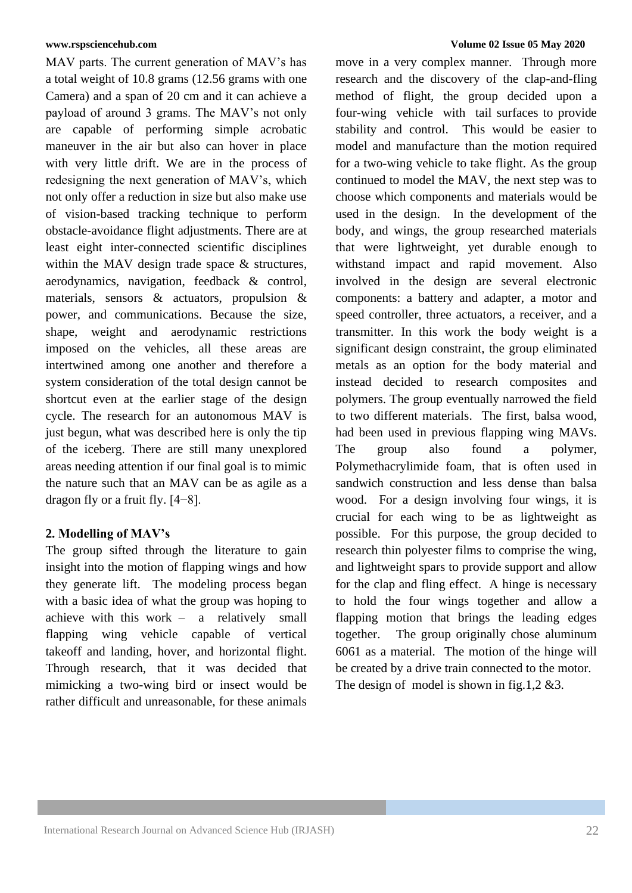MAV parts. The current generation of MAV's has a total weight of 10.8 grams (12.56 grams with one Camera) and a span of 20 cm and it can achieve a payload of around 3 grams. The MAV's not only are capable of performing simple acrobatic maneuver in the air but also can hover in place with very little drift. We are in the process of redesigning the next generation of MAV's, which not only offer a reduction in size but also make use of vision-based tracking technique to perform obstacle-avoidance flight adjustments. There are at least eight inter-connected scientific disciplines within the MAV design trade space & structures, aerodynamics, navigation, feedback & control, materials, sensors & actuators, propulsion & power, and communications. Because the size, shape, weight and aerodynamic restrictions imposed on the vehicles, all these areas are intertwined among one another and therefore a system consideration of the total design cannot be shortcut even at the earlier stage of the design cycle. The research for an autonomous MAV is just begun, what was described here is only the tip of the iceberg. There are still many unexplored areas needing attention if our final goal is to mimic the nature such that an MAV can be as agile as a dragon fly or a fruit fly. [4−8].

## **2. Modelling of MAV's**

The group sifted through the literature to gain insight into the motion of flapping wings and how they generate lift. The modeling process began with a basic idea of what the group was hoping to achieve with this work – a relatively small flapping wing vehicle capable of vertical takeoff and landing, hover, and horizontal flight. Through research, that it was decided that mimicking a two-wing bird or insect would be rather difficult and unreasonable, for these animals

### **[www.rspsciencehub.com](http://www.rspsciencehub.com/) Volume 02 Issue 05 May 2020**

move in a very complex manner. Through more research and the discovery of the clap-and-fling method of flight, the group decided upon a four-wing vehicle with tail surfaces to provide stability and control. This would be easier to model and manufacture than the motion required for a two-wing vehicle to take flight. As the group continued to model the MAV, the next step was to choose which components and materials would be used in the design. In the development of the body, and wings, the group researched materials that were lightweight, yet durable enough to withstand impact and rapid movement. Also involved in the design are several electronic components: a battery and adapter, a motor and speed controller, three actuators, a receiver, and a transmitter. In this work the body weight is a significant design constraint, the group eliminated metals as an option for the body material and instead decided to research composites and polymers. The group eventually narrowed the field to two different materials. The first, balsa wood, had been used in previous flapping wing MAVs. The group also found a polymer, Polymethacrylimide foam, that is often used in sandwich construction and less dense than balsa wood. For a design involving four wings, it is crucial for each wing to be as lightweight as possible. For this purpose, the group decided to research thin polyester films to comprise the wing, and lightweight spars to provide support and allow for the clap and fling effect. A hinge is necessary to hold the four wings together and allow a flapping motion that brings the leading edges together. The group originally chose aluminum 6061 as a material. The motion of the hinge will be created by a drive train connected to the motor. The design of model is shown in fig.1,2 &3.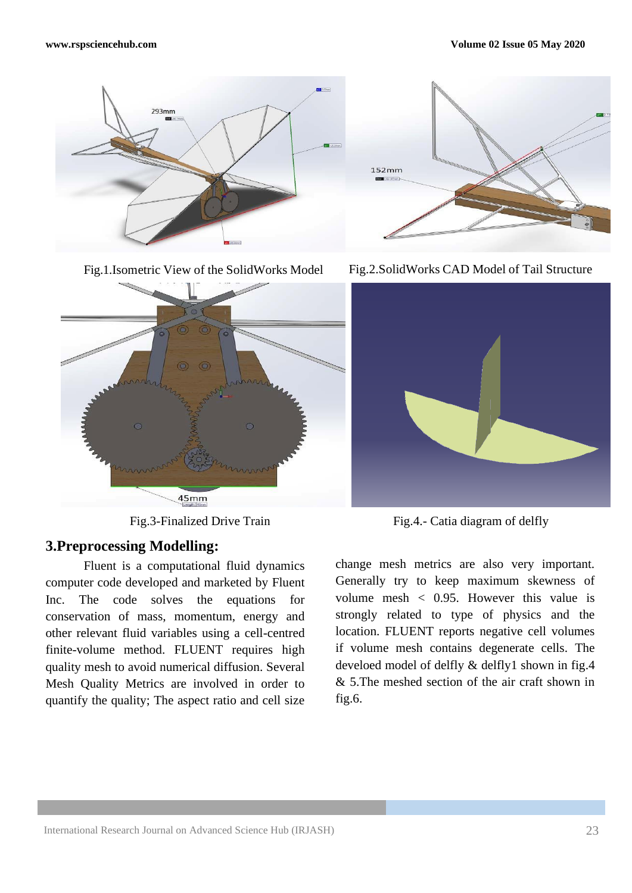



# **3.Preprocessing Modelling:**

Fluent is a computational fluid dynamics computer code developed and marketed by Fluent Inc. The code solves the equations for conservation of mass, momentum, energy and other relevant fluid variables using a cell-centred finite-volume method. FLUENT requires high quality mesh to avoid numerical diffusion. Several Mesh Quality Metrics are involved in order to quantify the quality; The aspect ratio and cell size







Fig.3-Finalized Drive Train<br>
Fig.4.- Catia diagram of delfly

change mesh metrics are also very important. Generally try to keep maximum skewness of volume mesh < 0.95. However this value is strongly related to type of physics and the location. FLUENT reports negative cell volumes if volume mesh contains degenerate cells. The develoed model of delfly & delfly1 shown in fig.4 & 5.The meshed section of the air craft shown in fig.6.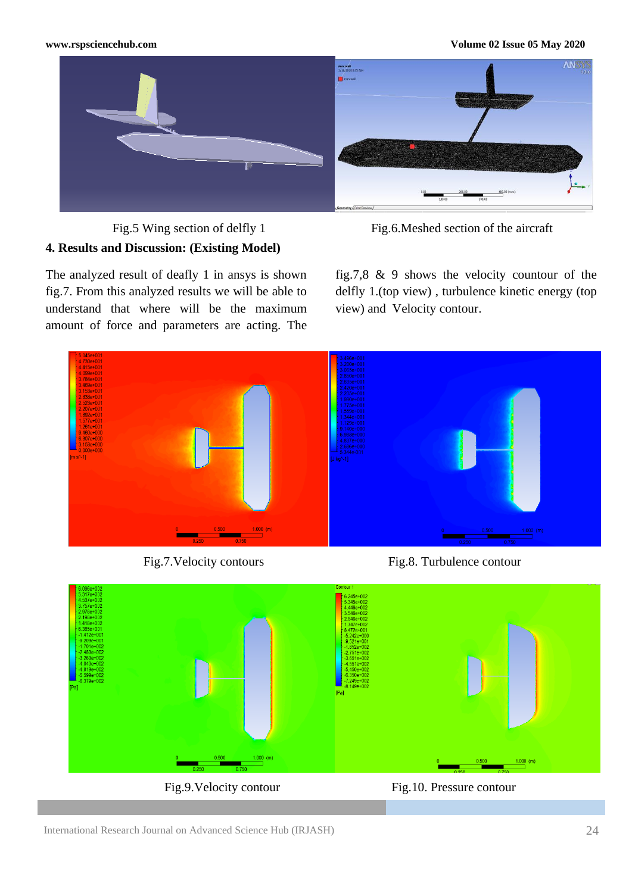### **[www.rspsciencehub.com](http://www.rspsciencehub.com/) Volume 02 Issue 05 May 2020**



**4. Results and Discussion: (Existing Model)**

Fig.5 Wing section of delfly 1 Fig.6.Meshed section of the aircraft

The analyzed result of deafly 1 in ansys is shown fig.7. From this analyzed results we will be able to understand that where will be the maximum amount of force and parameters are acting. The

fig.7,8 & 9 shows the velocity countour of the delfly 1.(top view) , turbulence kinetic energy (top view) and Velocity contour.





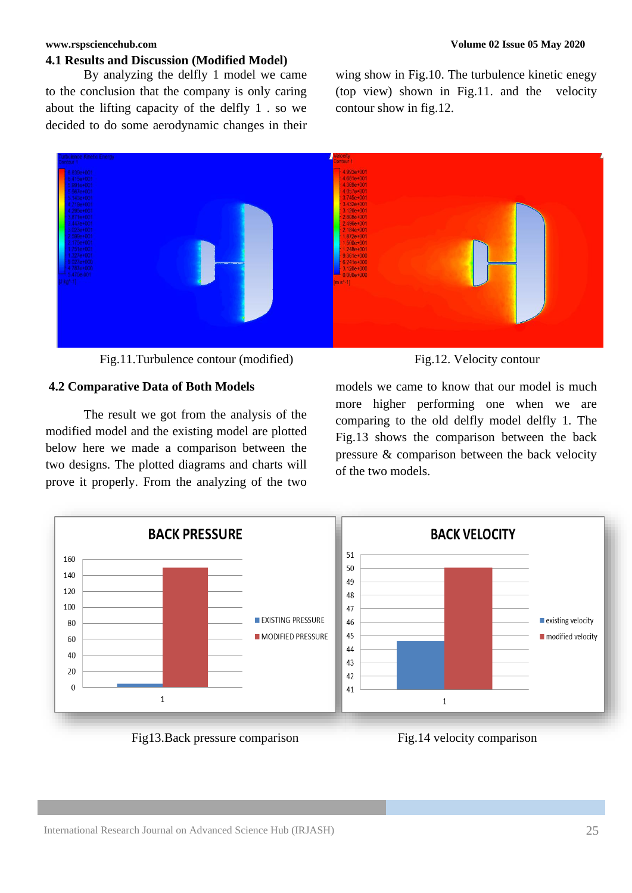### **[www.rspsciencehub.com](http://www.rspsciencehub.com/) Volume 02 Issue 05 May 2020**

### **4.1 Results and Discussion (Modified Model)**

By analyzing the delfly 1 model we came to the conclusion that the company is only caring about the lifting capacity of the delfly 1 . so we decided to do some aerodynamic changes in their wing show in Fig.10. The turbulence kinetic enegy (top view) shown in Fig.11. and the velocity contour show in fig.12.



Fig.11.Turbulence contour (modified) Fig.12. Velocity contour

### **4.2 Comparative Data of Both Models**

The result we got from the analysis of the modified model and the existing model are plotted below here we made a comparison between the two designs. The plotted diagrams and charts will prove it properly. From the analyzing of the two



models we came to know that our model is much more higher performing one when we are comparing to the old delfly model delfly 1. The Fig.13 shows the comparison between the back pressure & comparison between the back velocity of the two models.



Fig.13.Back pressure comparison Fig.14 velocity comparison